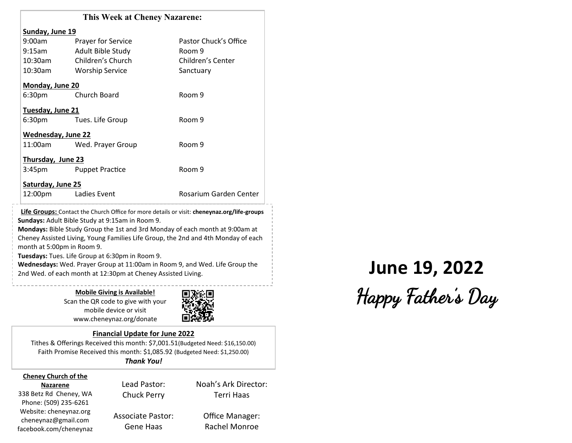|                           | <b>This Week at Cheney Nazarene:</b>            |                                                                                             |
|---------------------------|-------------------------------------------------|---------------------------------------------------------------------------------------------|
| Sunday, June 19           |                                                 |                                                                                             |
| 9:00am                    | <b>Prayer for Service</b>                       | Pastor Chuck's Office                                                                       |
| 9:15am                    | Adult Bible Study                               | Room 9                                                                                      |
| 10:30am                   | Children's Church                               | Children's Center                                                                           |
| 10:30am                   | <b>Worship Service</b>                          | Sanctuary                                                                                   |
| Monday, June 20           |                                                 |                                                                                             |
|                           | 6:30pm Church Board                             | Room 9                                                                                      |
| Tuesday, June 21          |                                                 |                                                                                             |
|                           | 6:30pm Tues. Life Group                         | Room 9                                                                                      |
| <b>Wednesday, June 22</b> |                                                 |                                                                                             |
| 11:00am                   | Wed. Prayer Group                               | Room 9                                                                                      |
| Thursday, June 23         |                                                 |                                                                                             |
| 3:45 <sub>pm</sub>        | <b>Puppet Practice</b>                          | Room 9                                                                                      |
| Saturday, June 25         |                                                 |                                                                                             |
|                           | 12:00pm Ladies Event                            | Rosarium Garden Center                                                                      |
|                           |                                                 | Life Groups: Contact the Church Office for more details or visit: cheneynaz.org/life-groups |
|                           | Sundays: Adult Bible Study at 9:15am in Room 9. |                                                                                             |

**Mondays:** Bible Study Group the 1st and 3rd Monday of each month at 9:00am at Cheney Assisted Living, Young Families Life Group, the 2nd and 4th Monday of each month at 5:00pm in Room 9.

**Tuesdays:** Tues. Life Group at 6:30pm in Room 9.

**Wednesdays:** Wed. Prayer Group at 11:00am in Room 9, and Wed. Life Group the Wednesdays: Wed. Prayer Group at 11:00am in Room 9, and Wed. Life Group the<br>2nd Wed. of each month at 12:30pm at Cheney Assisted Living.

**Mobile Giving is Available!** Scan the QR code to give with your mobile device or visit www.cheneynaz.org/donate



#### **Financial Update for June 2022**

Tithes & Offerings Received this month: \$7,001.51(Budgeted Need: \$16,150.00) Faith Promise Received this month: \$1,085.92 (Budgeted Need: \$1,250.00) *Thank You!*

#### **Cheney Church of the Nazarene**

338 Betz Rd Cheney, WA Phone: (509) 235-6261 Website: cheneynaz.org cheneynaz@gmail.com facebook.com/cheneynaz

Lead Pastor: Chuck Perry Associate Pastor:

Gene Haas

Office Manager: Rachel Monroe

Noah's Ark Director: Terri Haas

# Happy Father's Day